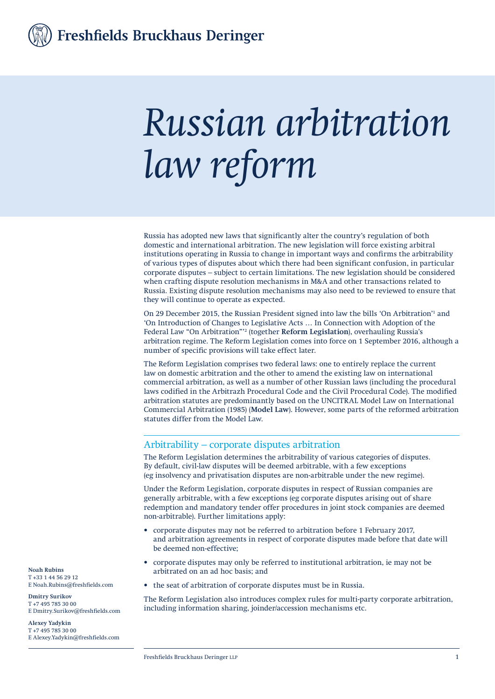Freshfields Bruckhaus Deringer

# *Russian arbitration law reform*

Russia has adopted new laws that significantly alter the country's regulation of both domestic and international arbitration. The new legislation will force existing arbitral institutions operating in Russia to change in important ways and confirms the arbitrability of various types of disputes about which there had been significant confusion, in particular corporate disputes – subject to certain limitations. The new legislation should be considered when crafting dispute resolution mechanisms in M&A and other transactions related to Russia. Existing dispute resolution mechanisms may also need to be reviewed to ensure that they will continue to operate as expected.

On 29 December 2015, the Russian President signed into law the bills 'On Arbitration'<sup>1</sup> and 'On Introduction of Changes to Legislative Acts … In Connection with Adoption of the Federal Law "On Arbitration"'<sup>2</sup> (together **Reform Legislation**), overhauling Russia's arbitration regime. The Reform Legislation comes into force on 1 September 2016, although a number of specific provisions will take effect later.

The Reform Legislation comprises two federal laws: one to entirely replace the current law on domestic arbitration and the other to amend the existing law on international commercial arbitration, as well as a number of other Russian laws (including the procedural laws codified in the Arbitrazh Procedural Code and the Civil Procedural Code). The modified arbitration statutes are predominantly based on the UNCITRAL Model Law on International Commercial Arbitration (1985) (**Model Law**). However, some parts of the reformed arbitration statutes differ from the Model Law.

#### Arbitrability – corporate disputes arbitration

The Reform Legislation determines the arbitrability of various categories of disputes. By default, civil-law disputes will be deemed arbitrable, with a few exceptions (eg insolvency and privatisation disputes are non-arbitrable under the new regime).

Under the Reform Legislation, corporate disputes in respect of Russian companies are generally arbitrable, with a few exceptions (eg corporate disputes arising out of share redemption and mandatory tender offer procedures in joint stock companies are deemed non-arbitrable). Further limitations apply:

- corporate disputes may not be referred to arbitration before 1 February 2017, and arbitration agreements in respect of corporate disputes made before that date will be deemed non-effective;
- corporate disputes may only be referred to institutional arbitration, ie may not be arbitrated on an ad hoc basis; and
- the seat of arbitration of corporate disputes must be in Russia.

The Reform Legislation also introduces complex rules for multi-party corporate arbitration, including information sharing, joinder/accession mechanisms etc.

**Noah Rubins** T +33 1 44 56 29 12 E Noah.Rubins@freshfields.com

**Dmitry Surikov** T +7 495 785 30 00 E Dmitry.Surikov@freshfields.com

**Alexey Yadykin** T +7 495 785 30 00 E Alexey.Yadykin@freshfields.com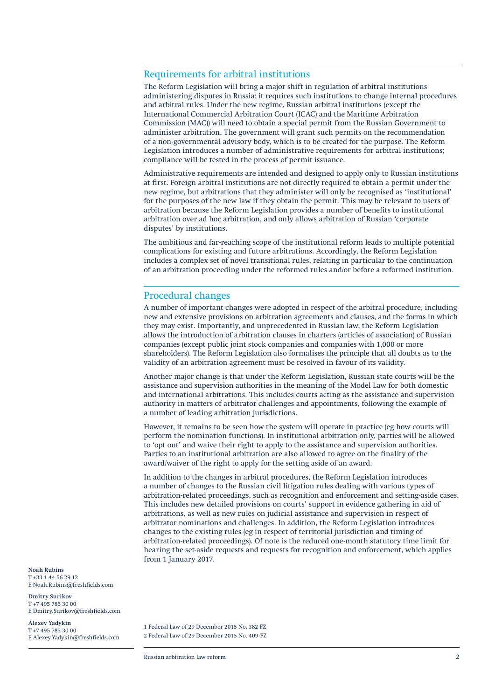#### Requirements for arbitral institutions

The Reform Legislation will bring a major shift in regulation of arbitral institutions administering disputes in Russia: it requires such institutions to change internal procedures and arbitral rules. Under the new regime, Russian arbitral institutions (except the International Commercial Arbitration Court (ICAC) and the Maritime Arbitration Commission (MAC)) will need to obtain a special permit from the Russian Government to administer arbitration. The government will grant such permits on the recommendation of a non-governmental advisory body, which is to be created for the purpose. The Reform Legislation introduces a number of administrative requirements for arbitral institutions; compliance will be tested in the process of permit issuance.

Administrative requirements are intended and designed to apply only to Russian institutions at first. Foreign arbitral institutions are not directly required to obtain a permit under the new regime, but arbitrations that they administer will only be recognised as 'institutional' for the purposes of the new law if they obtain the permit. This may be relevant to users of arbitration because the Reform Legislation provides a number of benefits to institutional arbitration over ad hoc arbitration, and only allows arbitration of Russian 'corporate disputes' by institutions.

The ambitious and far-reaching scope of the institutional reform leads to multiple potential complications for existing and future arbitrations. Accordingly, the Reform Legislation includes a complex set of novel transitional rules, relating in particular to the continuation of an arbitration proceeding under the reformed rules and/or before a reformed institution.

#### Procedural changes

A number of important changes were adopted in respect of the arbitral procedure, including new and extensive provisions on arbitration agreements and clauses, and the forms in which they may exist. Importantly, and unprecedented in Russian law, the Reform Legislation allows the introduction of arbitration clauses in charters (articles of association) of Russian companies (except public joint stock companies and companies with 1,000 or more shareholders). The Reform Legislation also formalises the principle that all doubts as to the validity of an arbitration agreement must be resolved in favour of its validity.

Another major change is that under the Reform Legislation, Russian state courts will be the assistance and supervision authorities in the meaning of the Model Law for both domestic and international arbitrations. This includes courts acting as the assistance and supervision authority in matters of arbitrator challenges and appointments, following the example of a number of leading arbitration jurisdictions.

However, it remains to be seen how the system will operate in practice (eg how courts will perform the nomination functions). In institutional arbitration only, parties will be allowed to 'opt out' and waive their right to apply to the assistance and supervision authorities. Parties to an institutional arbitration are also allowed to agree on the finality of the award/waiver of the right to apply for the setting aside of an award.

In addition to the changes in arbitral procedures, the Reform Legislation introduces a number of changes to the Russian civil litigation rules dealing with various types of arbitration-related proceedings, such as recognition and enforcement and setting-aside cases. This includes new detailed provisions on courts' support in evidence gathering in aid of arbitrations, as well as new rules on judicial assistance and supervision in respect of arbitrator nominations and challenges. In addition, the Reform Legislation introduces changes to the existing rules (eg in respect of territorial jurisdiction and timing of arbitration-related proceedings). Of note is the reduced one-month statutory time limit for hearing the set-aside requests and requests for recognition and enforcement, which applies from 1 January 2017.

**Noah Rubins** T +33 1 44 56 29 12 E Noah.Rubins@freshfields.com

**Dmitry Surikov** T +7 495 785 30 00 E Dmitry.Surikov@freshfields.com

**Alexey Yadykin**  $T + 74957853000$ E Alexey.Yadykin@freshfields.com

1 Federal Law of 29 December 2015 No. 382-FZ 2 Federal Law of 29 December 2015 No. 409-FZ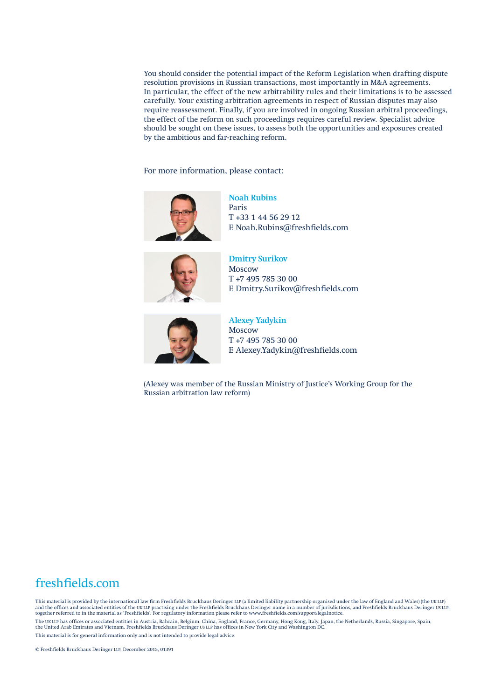You should consider the potential impact of the Reform Legislation when drafting dispute resolution provisions in Russian transactions, most importantly in M&A agreements. In particular, the effect of the new arbitrability rules and their limitations is to be assessed carefully. Your existing arbitration agreements in respect of Russian disputes may also require reassessment. Finally, if you are involved in ongoing Russian arbitral proceedings, the effect of the reform on such proceedings requires careful review. Specialist advice should be sought on these issues, to assess both the opportunities and exposures created by the ambitious and far-reaching reform.

For more information, please contact:



Paris T +33 1 44 56 29 12 E Noah.Rubins@freshfields.com

**Noah Rubins**



**Dmitry Surikov** Moscow T +7 495 785 30 00 E Dmitry.Surikov@freshfields.com



**Alexey Yadykin** Moscow T +7 495 785 30 00 E Alexey.Yadykin@freshfields.com

(Alexey was member of the Russian Ministry of Justice's Working Group for the Russian arbitration law reform)

### freshfields.com

This material is provided by the international law firm Freshfields Bruckhaus Deringer LLP (a limited liability partnership organised under the law of England and Wales) (the UK LLP) and the offices and associated entities of the UK LLP practising under the Freshfields Bruckhaus Deringer name in a number of jurisdictions, and Freshfields Bruckhaus Deringer US LLP,<br>together referred to in the material a The UK LLP has offices or associated entities in Austria, Bahrain, Belgium, China, England, France, Germany, Hong Kong, Italy, Japan, the Netherlands, Russia, Singapore, Spain,<br>the United Arab Emirates and Vietnam. Freshfi This material is for general information only and is not intended to provide legal advice.

© Freshfields Bruckhaus Deringer LLP, December 2015, 01391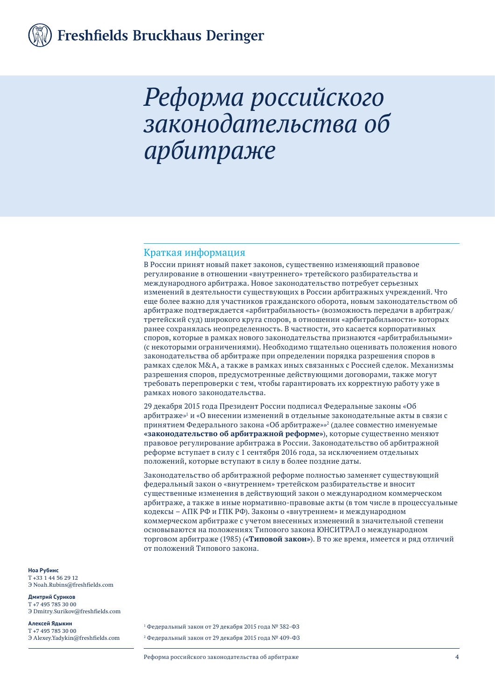# *Реформа российского законодательства об арбитраже*

#### Краткая информация

В России принят новый пакет законов, существенно изменяющий правовое регулирование в отношении «внутреннего» третейского разбирательства и международного арбитража. Новое законодательство потребует серьезных изменений в деятельности существующих в России арбитражных учреждений. Что еще более важно для участников гражданского оборота, новым законодательством об арбитраже подтверждается «арбитрабильность» (возможность передачи в арбитраж/ третейский суд) широкого круга споров, в отношении «арбитрабильности» которых ранее сохранялась неопределенность. В частности, это касается корпоративных споров, которые в рамках нового законодательства признаются «арбитрабильными» (с некоторыми ограничениями). Необходимо тщательно оценивать положения нового законодательства об арбитраже при определении порядка разрешения споров в рамках сделок M&A, а также в рамках иных связанных с Россией сделок. Механизмы разрешения споров, предусмотренные действующими договорами, также могут требовать перепроверки с тем, чтобы гарантировать их корректную работу уже в рамках нового законодательства.

29 декабря 2015 года Президент России подписал Федеральные законы «Об арбитраже»<sup>1</sup> и «О внесении изменений в отдельные законодательные акты в связи с принятием Федерального закона «Об арбитраже»»<sup>2</sup> (далее совместно именуемые **«законодательство об арбитражной реформе»**), которые существенно меняют правовое регулирование арбитража в России. Законодательство об арбитражной реформе вступает в силу с 1 сентября 2016 года, за исключением отдельных положений, которые вступают в силу в более поздние даты.

Законодательство об арбитражной реформе полностью заменяет существующий федеральный закон о «внутреннем» третейском разбирательстве и вносит существенные изменения в действующий закон о международном коммерческом арбитраже, а также в иные нормативно-правовые акты (в том числе в процессуальные кодексы – АПК РФ и ГПК РФ). Законы о «внутреннем» и международном коммерческом арбитраже с учетом внесенных изменений в значительной степени основываются на положениях Типового закона ЮНСИТРАЛ о международном торговом арбитраже (1985) (**«Типовой закон»**). В то же время, имеется и ряд отличий от положений Типового закона.

#### **Ноа Рубинс** T +33 1 44 56 29 12 Э Noah.Rubins@freshfields.com

**Дмитрий Суриков** T +7 495 785 30 00 Э Dmitry.Surikov@freshfields.com

**Алексей Ядыкин** T +7 495 785 30 00 Э Alexey.Yadykin@freshfields.com

1 Федеральный закон от 29 декабря 2015 года № 382-ФЗ 2 Федеральный закон от 29 декабря 2015 года № 409-ФЗ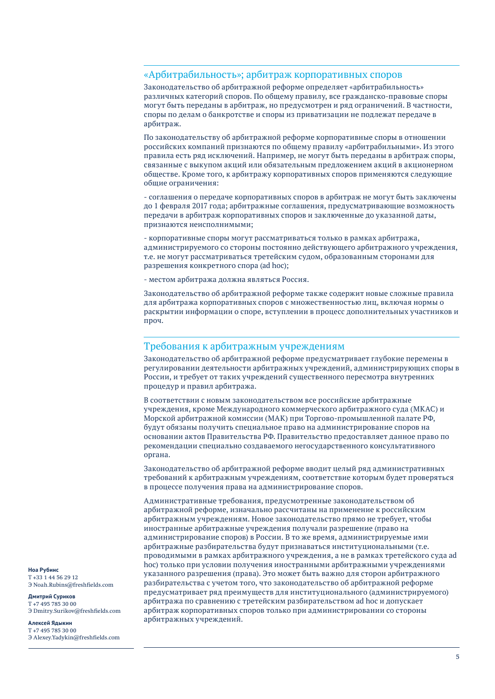#### «Арбитрабильность»; арбитраж корпоративных споров

Законодательство об арбитражной реформе определяет «арбитрабильность» различных категорий споров. По общему правилу, все гражданско-правовые споры могут быть переданы в арбитраж, но предусмотрен и ряд ограничений. В частности, споры по делам о банкротстве и споры из приватизации не подлежат передаче в арбитраж.

По законодательству об арбитражной реформе корпоративные споры в отношении российских компаний признаются по общему правилу «арбитрабильными». Из этого правила есть ряд исключений. Например, не могут быть переданы в арбитраж споры, связанные с выкупом акций или обязательным предложением акций в акционерном обществе. Кроме того, к арбитражу корпоративных споров применяются следующие общие ограничения:

- соглашения о передаче корпоративных споров в арбитраж не могут быть заключены до 1 февраля 2017 года; арбитражные соглашения, предусматривающие возможность передачи в арбитраж корпоративных споров и заключенные до указанной даты, признаются неисполнимыми;

- корпоративные споры могут рассматриваться только в рамках арбитража, администрируемого со стороны постоянно действующего арбитражного учреждения, т.е. не могут рассматриваться третейским судом, образованным сторонами для разрешения конкретного спора (ad hoc);

- местом арбитража должна являться Россия.

Законодательство об арбитражной реформе также содержит новые сложные правила для арбитража корпоративных споров с множественностью лиц, включая нормы о раскрытии информации о споре, вступлении в процесс дополнительных участников и проч.

#### Требования к арбитражным учреждениям

Законодательство об арбитражной реформе предусматривает глубокие перемены в регулировании деятельности арбитражных учреждений, администрирующих споры в России, и требует от таких учреждений существенного пересмотра внутренних процедур и правил арбитража.

В соответствии с новым законодательством все российские арбитражные учреждения, кроме Международного коммерческого арбитражного суда (МКАС) и Морской арбитражной комиссии (МАК) при Торгово-промышленной палате РФ, будут обязаны получить специальное право на администрирование споров на основании актов Правительства РФ. Правительство предоставляет данное право по рекомендации специально создаваемого негосударственного консультативного органа.

Законодательство об арбитражной реформе вводит целый ряд административных требований к арбитражным учреждениям, соответствие которым будет проверяться в процессе получения права на администрирование споров.

Административные требования, предусмотренные законодательством об арбитражной реформе, изначально рассчитаны на применение к российским арбитражным учреждениям. Новое законодательство прямо не требует, чтобы иностранные арбитражные учреждения получали разрешение (право на администрирование споров) в России. В то же время, администрируемые ими арбитражные разбирательства будут признаваться институциональными (т.е. проводимыми в рамках арбитражного учреждения, а не в рамках третейского суда ad hoc) только при условии получения иностранными арбитражными учреждениями указанного разрешения (права). Это может быть важно для сторон арбитражного разбирательства с учетом того, что законодательство об арбитражной реформе предусматривает ряд преимуществ для институционального (администрируемого) арбитража по сравнению с третейским разбирательством ad hoc и допускает арбитраж корпоративных споров только при администрировании со стороны арбитражных учреждений.

**Ноа Рубинс** T +33 1 44 56 29 12 Э Noah.Rubins@freshfields.com

**Дмитрий Суриков** T +7 495 785 30 00 Э Dmitry.Surikov@freshfields.com

#### **Алексей Ядыкин** T +7 495 785 30 00

Э Alexey.Yadykin@freshfields.com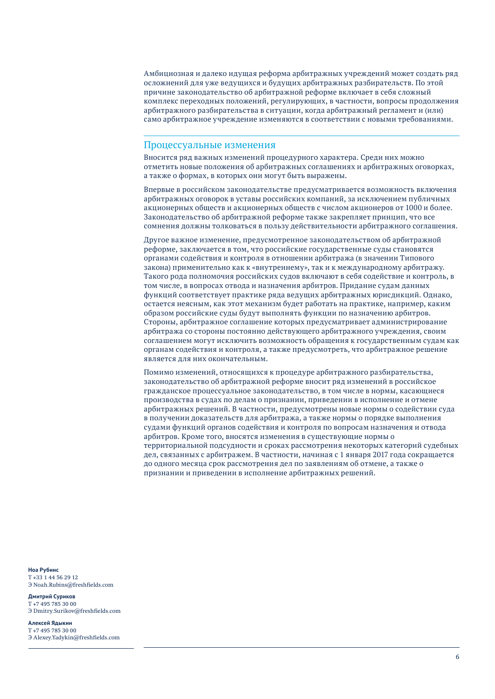Амбициозная и далеко идущая реформа арбитражных учреждений может создать ряд осложнений для уже ведущихся и будущих арбитражных разбирательств. По этой причине законодательство об арбитражной реформе включает в себя сложный комплекс переходных положений, регулирующих, в частности, вопросы продолжения арбитражного разбирательства в ситуации, когда арбитражный регламент и (или) само арбитражное учреждение изменяются в соответствии с новыми требованиями.

#### Процессуальные изменения

Вносится ряд важных изменений процедурного характера. Среди них можно отметить новые положения об арбитражных соглашениях и арбитражных оговорках, а также о формах, в которых они могут быть выражены.

Впервые в российском законодательстве предусматривается возможность включения арбитражных оговорок в уставы российских компаний, за исключением публичных акционерных обществ и акционерных обществ с числом акционеров от 1000 и более. Законодательство об арбитражной реформе также закрепляет принцип, что все сомнения должны толковаться в пользу действительности арбитражного соглашения.

Другое важное изменение, предусмотренное законодательством об арбитражной реформе, заключается в том, что российские государственные суды становятся органами содействия и контроля в отношении арбитража (в значении Типового закона) применительно как к «внутреннему», так и к международному арбитражу. Такого рода полномочия российских судов включают в себя содействие и контроль, в том числе, в вопросах отвода и назначения арбитров. Придание судам данных функций соответствует практике ряда ведущих арбитражных юрисдикций. Однако, остается неясным, как этот механизм будет работать на практике, например, каким образом российские суды будут выполнять функции по назначению арбитров. Стороны, арбитражное соглашение которых предусматривает администрирование арбитража со стороны постоянно действующего арбитражного учреждения, своим соглашением могут исключить возможность обращения к государственным судам как органам содействия и контроля, а также предусмотреть, что арбитражное решение является для них окончательным.

Помимо изменений, относящихся к процедуре арбитражного разбирательства, законодательство об арбитражной реформе вносит ряд изменений в российское гражданское процессуальное законодательство, в том числе в нормы, касающиеся производства в судах по делам о признании, приведении в исполнение и отмене арбитражных решений. В частности, предусмотрены новые нормы о содействии суда в получении доказательств для арбитража, а также нормы о порядке выполнения судами функций органов содействия и контроля по вопросам назначения и отвода арбитров. Кроме того, вносятся изменения в существующие нормы о территориальной подсудности и сроках рассмотрения некоторых категорий судебных дел, связанных с арбитражем. В частности, начиная с 1 января 2017 года сокращается до одного месяца срок рассмотрения дел по заявлениям об отмене, а также о признании и приведении в исполнение арбитражных решений.

**Ноа Рубинс** T +33 1 44 56 29 12 Э Noah.Rubins@freshfields.com

#### **Дмитрий Суриков** T +7 495 785 30 00 Э Dmitry.Surikov@freshfields.com

#### **Алексей Ядыкин**

T +7 495 785 30 00 Э Alexey.Yadykin@freshfields.com